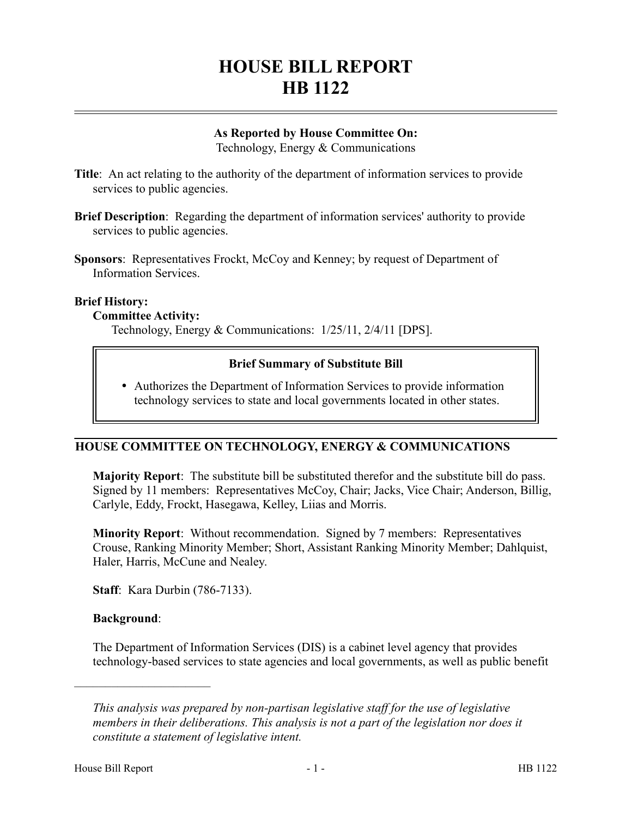# **HOUSE BILL REPORT HB 1122**

## **As Reported by House Committee On:**

Technology, Energy & Communications

- **Title**: An act relating to the authority of the department of information services to provide services to public agencies.
- **Brief Description**: Regarding the department of information services' authority to provide services to public agencies.
- **Sponsors:** Representatives Frockt, McCoy and Kenney; by request of Department of Information Services.

#### **Brief History:**

#### **Committee Activity:**

Technology, Energy & Communications: 1/25/11, 2/4/11 [DPS].

#### **Brief Summary of Substitute Bill**

 Authorizes the Department of Information Services to provide information technology services to state and local governments located in other states.

#### **HOUSE COMMITTEE ON TECHNOLOGY, ENERGY & COMMUNICATIONS**

**Majority Report**: The substitute bill be substituted therefor and the substitute bill do pass. Signed by 11 members: Representatives McCoy, Chair; Jacks, Vice Chair; Anderson, Billig, Carlyle, Eddy, Frockt, Hasegawa, Kelley, Liias and Morris.

**Minority Report**: Without recommendation. Signed by 7 members: Representatives Crouse, Ranking Minority Member; Short, Assistant Ranking Minority Member; Dahlquist, Haler, Harris, McCune and Nealey.

**Staff**: Kara Durbin (786-7133).

#### **Background**:

––––––––––––––––––––––

The Department of Information Services (DIS) is a cabinet level agency that provides technology-based services to state agencies and local governments, as well as public benefit

*This analysis was prepared by non-partisan legislative staff for the use of legislative members in their deliberations. This analysis is not a part of the legislation nor does it constitute a statement of legislative intent.*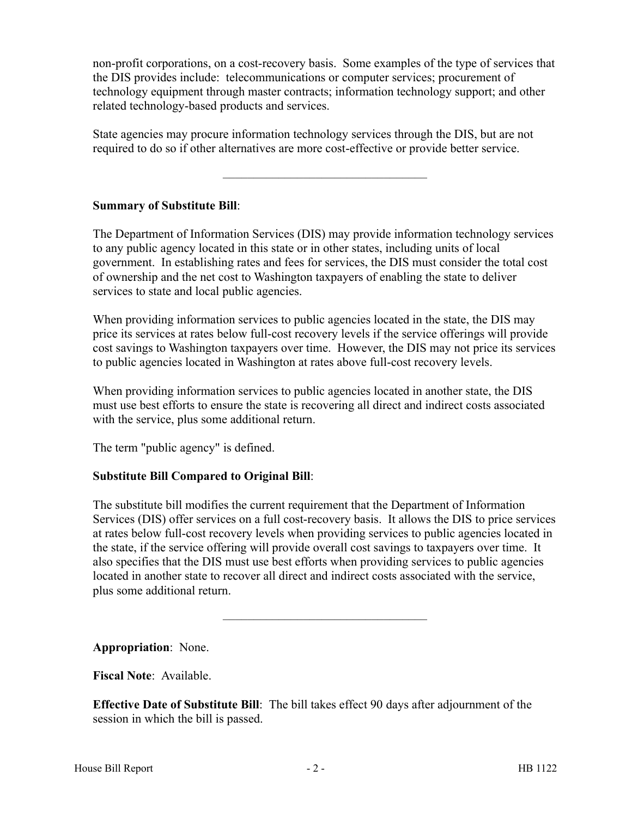non-profit corporations, on a cost-recovery basis. Some examples of the type of services that the DIS provides include: telecommunications or computer services; procurement of technology equipment through master contracts; information technology support; and other related technology-based products and services.

State agencies may procure information technology services through the DIS, but are not required to do so if other alternatives are more cost-effective or provide better service.

–––––––––––––––––––––––––––––––––

## **Summary of Substitute Bill**:

The Department of Information Services (DIS) may provide information technology services to any public agency located in this state or in other states, including units of local government. In establishing rates and fees for services, the DIS must consider the total cost of ownership and the net cost to Washington taxpayers of enabling the state to deliver services to state and local public agencies.

When providing information services to public agencies located in the state, the DIS may price its services at rates below full-cost recovery levels if the service offerings will provide cost savings to Washington taxpayers over time. However, the DIS may not price its services to public agencies located in Washington at rates above full-cost recovery levels.

When providing information services to public agencies located in another state, the DIS must use best efforts to ensure the state is recovering all direct and indirect costs associated with the service, plus some additional return.

The term "public agency" is defined.

# **Substitute Bill Compared to Original Bill**:

The substitute bill modifies the current requirement that the Department of Information Services (DIS) offer services on a full cost-recovery basis. It allows the DIS to price services at rates below full-cost recovery levels when providing services to public agencies located in the state, if the service offering will provide overall cost savings to taxpayers over time. It also specifies that the DIS must use best efforts when providing services to public agencies located in another state to recover all direct and indirect costs associated with the service, plus some additional return.

–––––––––––––––––––––––––––––––––

**Appropriation**: None.

**Fiscal Note**: Available.

**Effective Date of Substitute Bill**: The bill takes effect 90 days after adjournment of the session in which the bill is passed.